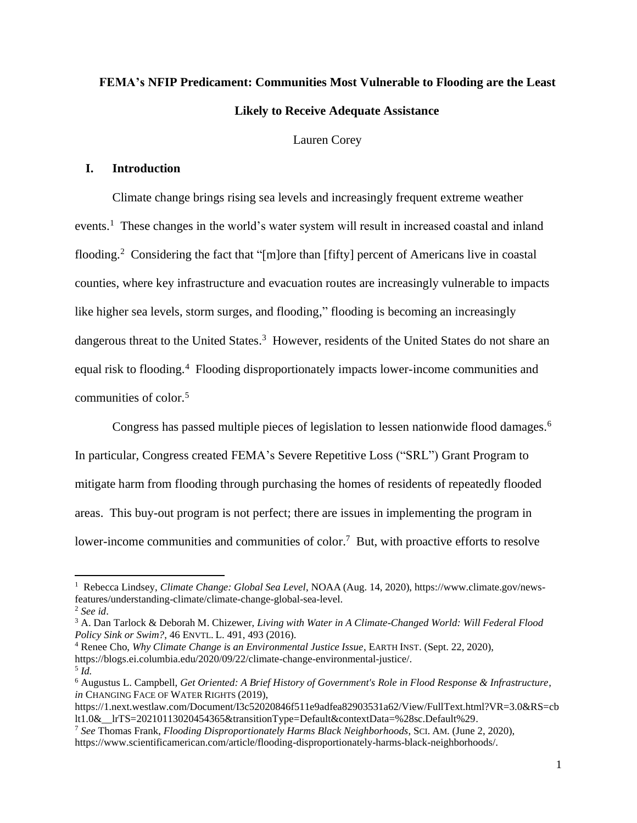# **FEMA's NFIP Predicament: Communities Most Vulnerable to Flooding are the Least Likely to Receive Adequate Assistance**

Lauren Corey

## **I. Introduction**

Climate change brings rising sea levels and increasingly frequent extreme weather events.<sup>1</sup> These changes in the world's water system will result in increased coastal and inland flooding.<sup>2</sup> Considering the fact that "[m]ore than [fifty] percent of Americans live in coastal counties, where key infrastructure and evacuation routes are increasingly vulnerable to impacts like higher sea levels, storm surges, and flooding," flooding is becoming an increasingly dangerous threat to the United States.<sup>3</sup> However, residents of the United States do not share an equal risk to flooding.<sup>4</sup> Flooding disproportionately impacts lower-income communities and communities of color. 5

Congress has passed multiple pieces of legislation to lessen nationwide flood damages. 6 In particular, Congress created FEMA's Severe Repetitive Loss ("SRL") Grant Program to mitigate harm from flooding through purchasing the homes of residents of repeatedly flooded areas. This buy-out program is not perfect; there are issues in implementing the program in lower-income communities and communities of color.<sup>7</sup> But, with proactive efforts to resolve

<sup>4</sup> Renee Cho, *Why Climate Change is an Environmental Justice Issue*, EARTH INST. (Sept. 22, 2020), https://blogs.ei.columbia.edu/2020/09/22/climate-change-environmental-justice/.

<sup>1</sup> Rebecca Lindsey, *Climate Change: Global Sea Level*, NOAA (Aug. 14, 2020), https://www.climate.gov/newsfeatures/understanding-climate/climate-change-global-sea-level.

<sup>2</sup> *See id*.

<sup>3</sup> A. Dan Tarlock & Deborah M. Chizewer, *Living with Water in A Climate-Changed World: Will Federal Flood Policy Sink or Swim?*, 46 ENVTL. L. 491, 493 (2016).

<sup>5</sup> *Id.* <sup>6</sup> Augustus L. Campbell, *Get Oriented: A Brief History of Government's Role in Flood Response & Infrastructure*, *in* CHANGING FACE OF WATER RIGHTS (2019),

https://1.next.westlaw.com/Document/I3c52020846f511e9adfea82903531a62/View/FullText.html?VR=3.0&RS=cb lt1.0&\_\_lrTS=20210113020454365&transitionType=Default&contextData=%28sc.Default%29.

<sup>7</sup> *See* Thomas Frank, *Flooding Disproportionately Harms Black Neighborhoods*, SCI. AM. (June 2, 2020), https://www.scientificamerican.com/article/flooding-disproportionately-harms-black-neighborhoods/.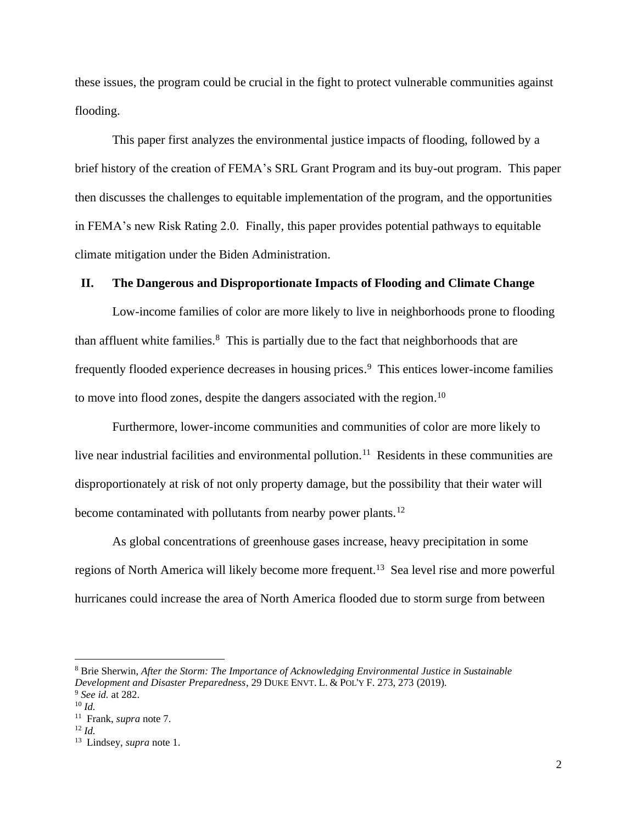these issues, the program could be crucial in the fight to protect vulnerable communities against flooding.

This paper first analyzes the environmental justice impacts of flooding, followed by a brief history of the creation of FEMA's SRL Grant Program and its buy-out program. This paper then discusses the challenges to equitable implementation of the program, and the opportunities in FEMA's new Risk Rating 2.0. Finally, this paper provides potential pathways to equitable climate mitigation under the Biden Administration.

#### **II. The Dangerous and Disproportionate Impacts of Flooding and Climate Change**

Low-income families of color are more likely to live in neighborhoods prone to flooding than affluent white families. $8$  This is partially due to the fact that neighborhoods that are frequently flooded experience decreases in housing prices. <sup>9</sup> This entices lower-income families to move into flood zones, despite the dangers associated with the region.<sup>10</sup>

Furthermore, lower-income communities and communities of color are more likely to live near industrial facilities and environmental pollution.<sup>11</sup> Residents in these communities are disproportionately at risk of not only property damage, but the possibility that their water will become contaminated with pollutants from nearby power plants.<sup>12</sup>

As global concentrations of greenhouse gases increase, heavy precipitation in some regions of North America will likely become more frequent.<sup>13</sup> Sea level rise and more powerful hurricanes could increase the area of North America flooded due to storm surge from between

<sup>8</sup> Brie Sherwin, *After the Storm: The Importance of Acknowledging Environmental Justice in Sustainable Development and Disaster Preparedness*, 29 DUKE ENVT. L. & POL'Y F. 273, 273 (2019).

<sup>9</sup> *See id.* at 282.

<sup>10</sup> *Id.*

<sup>11</sup> Frank, *supra* note 7.

<sup>12</sup> *Id.*

<sup>13</sup> Lindsey, *supra* note 1.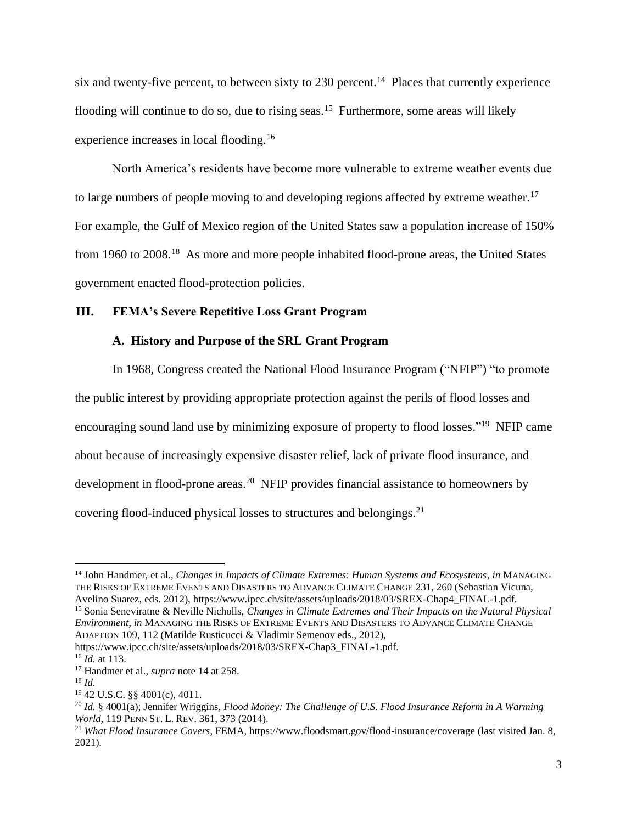six and twenty-five percent, to between sixty to 230 percent.<sup>14</sup> Places that currently experience flooding will continue to do so, due to rising seas.<sup>15</sup> Furthermore, some areas will likely experience increases in local flooding.<sup>16</sup>

North America's residents have become more vulnerable to extreme weather events due to large numbers of people moving to and developing regions affected by extreme weather.<sup>17</sup> For example, the Gulf of Mexico region of the United States saw a population increase of 150% from 1960 to 2008.<sup>18</sup> As more and more people inhabited flood-prone areas, the United States government enacted flood-protection policies.

### **III. FEMA's Severe Repetitive Loss Grant Program**

#### **A. History and Purpose of the SRL Grant Program**

In 1968, Congress created the National Flood Insurance Program ("NFIP") "to promote the public interest by providing appropriate protection against the perils of flood losses and encouraging sound land use by minimizing exposure of property to flood losses."<sup>19</sup> NFIP came about because of increasingly expensive disaster relief, lack of private flood insurance, and development in flood-prone areas.<sup>20</sup> NFIP provides financial assistance to homeowners by covering flood-induced physical losses to structures and belongings.<sup>21</sup>

<sup>15</sup> Sonia Seneviratne & Neville Nicholls, *Changes in Climate Extremes and Their Impacts on the Natural Physical Environment, in* MANAGING THE RISKS OF EXTREME EVENTS AND DISASTERS TO ADVANCE CLIMATE CHANGE ADAPTION 109, 112 (Matilde Rusticucci & Vladimir Semenov eds., 2012),

https://www.ipcc.ch/site/assets/uploads/2018/03/SREX-Chap3\_FINAL-1.pdf.

<sup>14</sup> John Handmer, et al., *Changes in Impacts of Climate Extremes: Human Systems and Ecosystems*, *in* MANAGING THE RISKS OF EXTREME EVENTS AND DISASTERS TO ADVANCE CLIMATE CHANGE 231, 260 (Sebastian Vicuna, Avelino Suarez, eds. 2012), https://www.ipcc.ch/site/assets/uploads/2018/03/SREX-Chap4\_FINAL-1.pdf.

<sup>16</sup> *Id.* at 113.

<sup>17</sup> Handmer et al., *supra* note 14 at 258.

 $18$  *Id.* 

<sup>19</sup> 42 U.S.C. §§ 4001(c), 4011.

<sup>20</sup> *Id.* § 4001(a); Jennifer Wriggins, *Flood Money: The Challenge of U.S. Flood Insurance Reform in A Warming World,* 119 PENN ST. L. REV. 361, 373 (2014).

<sup>21</sup> *What Flood Insurance Covers*, FEMA, https://www.floodsmart.gov/flood-insurance/coverage (last visited Jan. 8, 2021).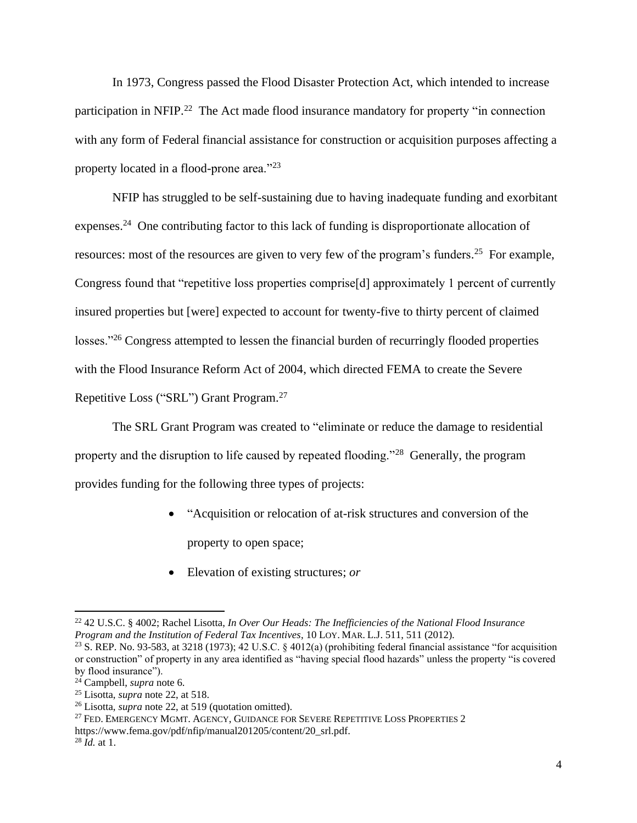In 1973, Congress passed the Flood Disaster Protection Act, which intended to increase participation in NFIP.<sup>22</sup> The Act made flood insurance mandatory for property "in connection with any form of Federal financial assistance for construction or acquisition purposes affecting a property located in a flood-prone area."<sup>23</sup>

NFIP has struggled to be self-sustaining due to having inadequate funding and exorbitant expenses.<sup>24</sup> One contributing factor to this lack of funding is disproportionate allocation of resources: most of the resources are given to very few of the program's funders.<sup>25</sup> For example, Congress found that "repetitive loss properties comprise[d] approximately 1 percent of currently insured properties but [were] expected to account for twenty-five to thirty percent of claimed losses."<sup>26</sup> Congress attempted to lessen the financial burden of recurringly flooded properties with the Flood Insurance Reform Act of 2004, which directed FEMA to create the Severe Repetitive Loss ("SRL") Grant Program.<sup>27</sup>

The SRL Grant Program was created to "eliminate or reduce the damage to residential property and the disruption to life caused by repeated flooding."<sup>28</sup> Generally, the program provides funding for the following three types of projects:

- "Acquisition or relocation of at-risk structures and conversion of the property to open space;
- Elevation of existing structures; *or*

<sup>22</sup> 42 U.S.C. § 4002; Rachel Lisotta, *In Over Our Heads: The Inefficiencies of the National Flood Insurance Program and the Institution of Federal Tax Incentives*, 10 LOY. MAR. L.J. 511, 511 (2012).

<sup>&</sup>lt;sup>23</sup> S. REP. No. 93-583, at 3218 (1973); 42 U.S.C. § 4012(a) (prohibiting federal financial assistance "for acquisition or construction" of property in any area identified as "having special flood hazards" unless the property "is covered by flood insurance").

<sup>24</sup> Campbell, *supra* note 6.

<sup>25</sup> Lisotta, *supra* note 22, at 518.

<sup>26</sup> Lisotta, *supra* note 22, at 519 (quotation omitted).

<sup>&</sup>lt;sup>27</sup> FED. EMERGENCY MGMT. AGENCY, GUIDANCE FOR SEVERE REPETITIVE LOSS PROPERTIES 2 https://www.fema.gov/pdf/nfip/manual201205/content/20\_srl.pdf.

<sup>28</sup> *Id.* at 1.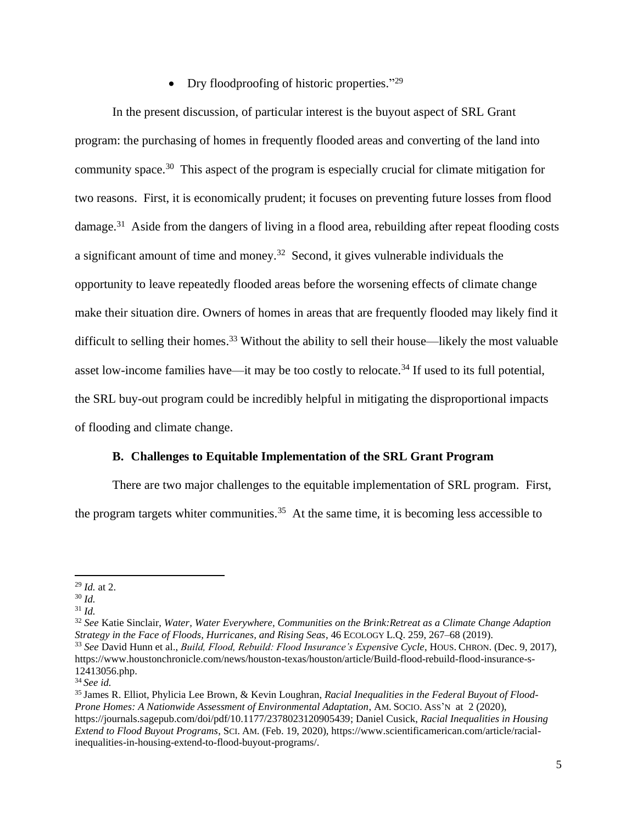• Dry floodproofing of historic properties."<sup>29</sup>

In the present discussion, of particular interest is the buyout aspect of SRL Grant program: the purchasing of homes in frequently flooded areas and converting of the land into community space. <sup>30</sup> This aspect of the program is especially crucial for climate mitigation for two reasons. First, it is economically prudent; it focuses on preventing future losses from flood damage.<sup>31</sup> Aside from the dangers of living in a flood area, rebuilding after repeat flooding costs a significant amount of time and money.<sup>32</sup> Second, it gives vulnerable individuals the opportunity to leave repeatedly flooded areas before the worsening effects of climate change make their situation dire. Owners of homes in areas that are frequently flooded may likely find it difficult to selling their homes.<sup>33</sup> Without the ability to sell their house—likely the most valuable asset low-income families have—it may be too costly to relocate. <sup>34</sup> If used to its full potential, the SRL buy-out program could be incredibly helpful in mitigating the disproportional impacts of flooding and climate change.

## **B. Challenges to Equitable Implementation of the SRL Grant Program**

There are two major challenges to the equitable implementation of SRL program. First, the program targets whiter communities.<sup>35</sup> At the same time, it is becoming less accessible to

<sup>29</sup> *Id.* at 2.

<sup>30</sup> *Id.* 

<sup>31</sup> *Id.*

<sup>32</sup> *See* Katie Sinclair, *Water, Water Everywhere, Communities on the Brink:Retreat as a Climate Change Adaption Strategy in the Face of Floods, Hurricanes, and Rising Seas*, 46 ECOLOGY L.Q. 259, 267–68 (2019). <sup>33</sup> *See* David Hunn et al., *Build, Flood, Rebuild: Flood Insurance's Expensive Cycle*, HOUS. CHRON. (Dec. 9, 2017), https://www.houstonchronicle.com/news/houston-texas/houston/article/Build-flood-rebuild-flood-insurance-s-12413056.php.

<sup>34</sup>*See id.*

<sup>35</sup> James R. Elliot, Phylicia Lee Brown, & Kevin Loughran, *Racial Inequalities in the Federal Buyout of Flood-Prone Homes: A Nationwide Assessment of Environmental Adaptation*, AM.SOCIO. ASS'N at 2 (2020), https://journals.sagepub.com/doi/pdf/10.1177/2378023120905439; Daniel Cusick, *Racial Inequalities in Housing Extend to Flood Buyout Programs*, SCI. AM. (Feb. 19, 2020), https://www.scientificamerican.com/article/racialinequalities-in-housing-extend-to-flood-buyout-programs/.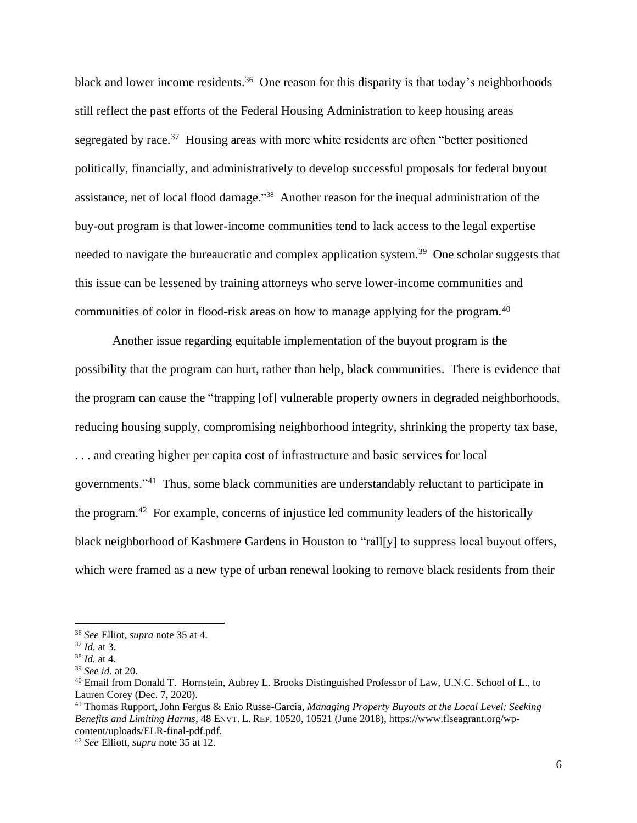black and lower income residents.<sup>36</sup> One reason for this disparity is that today's neighborhoods still reflect the past efforts of the Federal Housing Administration to keep housing areas segregated by race.<sup>37</sup> Housing areas with more white residents are often "better positioned politically, financially, and administratively to develop successful proposals for federal buyout assistance, net of local flood damage."<sup>38</sup> Another reason for the inequal administration of the buy-out program is that lower-income communities tend to lack access to the legal expertise needed to navigate the bureaucratic and complex application system.<sup>39</sup> One scholar suggests that this issue can be lessened by training attorneys who serve lower-income communities and communities of color in flood-risk areas on how to manage applying for the program.<sup>40</sup>

Another issue regarding equitable implementation of the buyout program is the possibility that the program can hurt, rather than help, black communities. There is evidence that the program can cause the "trapping [of] vulnerable property owners in degraded neighborhoods, reducing housing supply, compromising neighborhood integrity, shrinking the property tax base, . . . and creating higher per capita cost of infrastructure and basic services for local governments."<sup>41</sup> Thus, some black communities are understandably reluctant to participate in the program.<sup>42</sup> For example, concerns of injustice led community leaders of the historically black neighborhood of Kashmere Gardens in Houston to "rall[y] to suppress local buyout offers, which were framed as a new type of urban renewal looking to remove black residents from their

<sup>36</sup> *See* Elliot, *supra* note 35 at 4.

<sup>37</sup> *Id.* at 3.

<sup>38</sup> *Id.* at 4.

<sup>39</sup> *See id.* at 20.

<sup>40</sup> Email from Donald T. Hornstein, Aubrey L. Brooks Distinguished Professor of Law, U.N.C. School of L., to Lauren Corey (Dec. 7, 2020).

<sup>41</sup> Thomas Rupport, John Fergus & Enio Russe-Garcia*, Managing Property Buyouts at the Local Level: Seeking Benefits and Limiting Harms*, 48 ENVT. L. REP. 10520, 10521 (June 2018), https://www.flseagrant.org/wpcontent/uploads/ELR-final-pdf.pdf.

<sup>42</sup> *See* Elliott, *supra* note 35 at 12.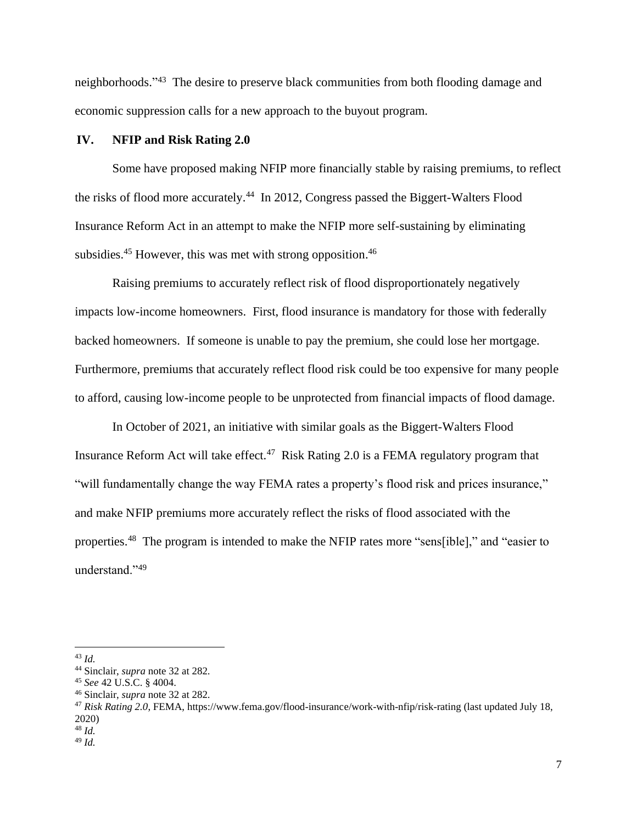neighborhoods."<sup>43</sup> The desire to preserve black communities from both flooding damage and economic suppression calls for a new approach to the buyout program.

#### **IV. NFIP and Risk Rating 2.0**

Some have proposed making NFIP more financially stable by raising premiums, to reflect the risks of flood more accurately.<sup>44</sup> In 2012, Congress passed the Biggert-Walters Flood Insurance Reform Act in an attempt to make the NFIP more self-sustaining by eliminating subsidies.<sup>45</sup> However, this was met with strong opposition.<sup>46</sup>

Raising premiums to accurately reflect risk of flood disproportionately negatively impacts low-income homeowners. First, flood insurance is mandatory for those with federally backed homeowners. If someone is unable to pay the premium, she could lose her mortgage. Furthermore, premiums that accurately reflect flood risk could be too expensive for many people to afford, causing low-income people to be unprotected from financial impacts of flood damage.

In October of 2021, an initiative with similar goals as the Biggert-Walters Flood Insurance Reform Act will take effect.<sup>47</sup> Risk Rating 2.0 is a FEMA regulatory program that "will fundamentally change the way FEMA rates a property's flood risk and prices insurance," and make NFIP premiums more accurately reflect the risks of flood associated with the properties.<sup>48</sup> The program is intended to make the NFIP rates more "sens[ible]," and "easier to understand."<sup>49</sup>

<sup>43</sup> *Id.*

<sup>44</sup> Sinclair, *supra* note 32 at 282.

<sup>45</sup> *See* 42 U.S.C. § 4004.

<sup>46</sup> Sinclair, *supra* note 32 at 282.

<sup>47</sup> *Risk Rating 2.0*, FEMA, https://www.fema.gov/flood-insurance/work-with-nfip/risk-rating (last updated July 18, 2020)

<sup>48</sup> *Id.*

<sup>49</sup> *Id.*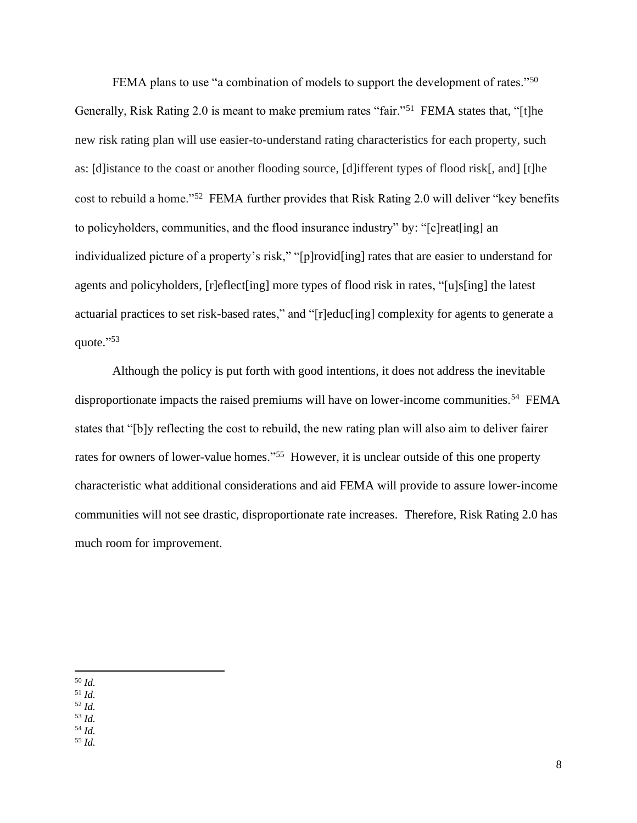FEMA plans to use "a combination of models to support the development of rates."<sup>50</sup> Generally, Risk Rating 2.0 is meant to make premium rates "fair."<sup>51</sup> FEMA states that, "[t]he new risk rating plan will use easier-to-understand rating characteristics for each property, such as: [d]istance to the coast or another flooding source, [d]ifferent types of flood risk[, and] [t]he cost to rebuild a home."<sup>52</sup> FEMA further provides that Risk Rating 2.0 will deliver "key benefits to policyholders, communities, and the flood insurance industry" by: "[c]reat[ing] an individualized picture of a property's risk," "[p]rovid[ing] rates that are easier to understand for agents and policyholders, [r]eflect[ing] more types of flood risk in rates, "[u]s[ing] the latest actuarial practices to set risk-based rates," and "[r]educ[ing] complexity for agents to generate a quote."<sup>53</sup>

Although the policy is put forth with good intentions, it does not address the inevitable disproportionate impacts the raised premiums will have on lower-income communities.<sup>54</sup> FEMA states that "[b]y reflecting the cost to rebuild, the new rating plan will also aim to deliver fairer rates for owners of lower-value homes."<sup>55</sup> However, it is unclear outside of this one property characteristic what additional considerations and aid FEMA will provide to assure lower-income communities will not see drastic, disproportionate rate increases. Therefore, Risk Rating 2.0 has much room for improvement.

- <sup>51</sup> *Id.*
- <sup>52</sup> *Id.*

<sup>53</sup> *Id.* <sup>54</sup> *Id.*

<sup>55</sup> *Id.*

<sup>50</sup> *Id.*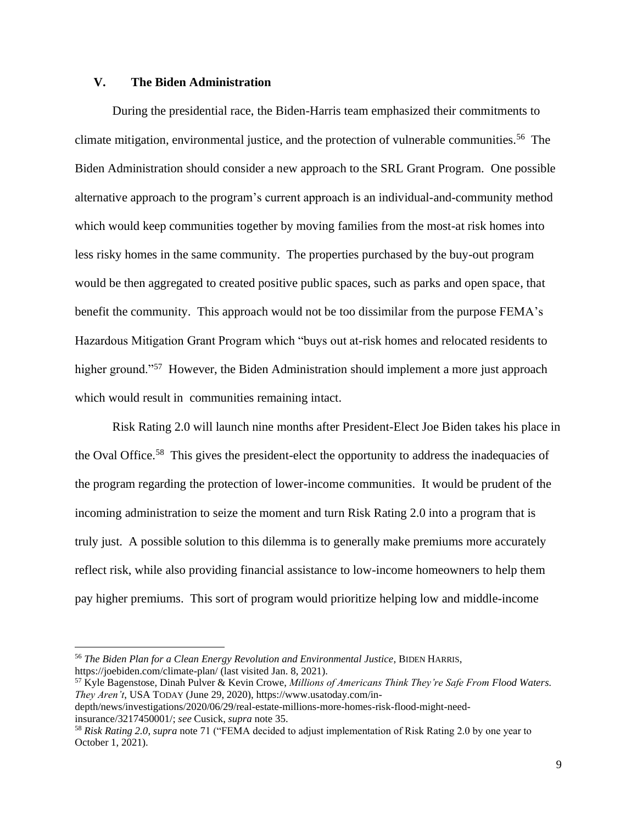## **V. The Biden Administration**

During the presidential race, the Biden-Harris team emphasized their commitments to climate mitigation, environmental justice, and the protection of vulnerable communities.<sup>56</sup> The Biden Administration should consider a new approach to the SRL Grant Program. One possible alternative approach to the program's current approach is an individual-and-community method which would keep communities together by moving families from the most-at risk homes into less risky homes in the same community. The properties purchased by the buy-out program would be then aggregated to created positive public spaces, such as parks and open space, that benefit the community. This approach would not be too dissimilar from the purpose FEMA's Hazardous Mitigation Grant Program which "buys out at-risk homes and relocated residents to higher ground."<sup>57</sup> However, the Biden Administration should implement a more just approach which would result in communities remaining intact.

Risk Rating 2.0 will launch nine months after President-Elect Joe Biden takes his place in the Oval Office.<sup>58</sup> This gives the president-elect the opportunity to address the inadequacies of the program regarding the protection of lower-income communities. It would be prudent of the incoming administration to seize the moment and turn Risk Rating 2.0 into a program that is truly just. A possible solution to this dilemma is to generally make premiums more accurately reflect risk, while also providing financial assistance to low-income homeowners to help them pay higher premiums. This sort of program would prioritize helping low and middle-income

<sup>56</sup> *The Biden Plan for a Clean Energy Revolution and Environmental Justice*, BIDEN HARRIS, https://joebiden.com/climate-plan/ (last visited Jan. 8, 2021).

<sup>57</sup> Kyle Bagenstose, Dinah Pulver & Kevin Crowe, *Millions of Americans Think They're Safe From Flood Waters. They Aren't*, USA TODAY (June 29, 2020), https://www.usatoday.com/in-

depth/news/investigations/2020/06/29/real-estate-millions-more-homes-risk-flood-might-needinsurance/3217450001/; *see* Cusick, *supra* note 35.

<sup>58</sup> *Risk Rating 2.0*, *supra* note 71 ("FEMA decided to adjust implementation of Risk Rating 2.0 by one year to October 1, 2021).